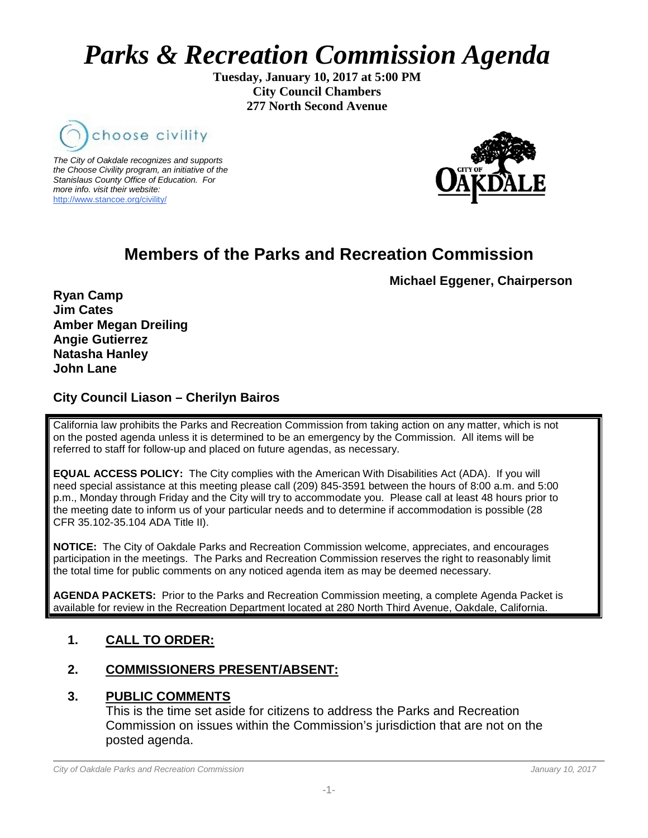# *Parks & Recreation Commission Agenda*

**Tuesday, January 10, 2017 at 5:00 PM City Council Chambers 277 North Second Avenue**



*The City of Oakdale recognizes and supports the Choose Civility program, an initiative of the Stanislaus County Office of Education. For more info. visit their website:* [http://www.stancoe.org/civility/](http://links.schoolloop.com/link/rd?href=736c5f6c696e6b6666303163633065623266687474703a2f2f7777772e7374616e636f652e6f72672f636976696c6974792f)



# **Members of the Parks and Recreation Commission**

**Michael Eggener, Chairperson**

**Ryan Camp Jim Cates Amber Megan Dreiling Angie Gutierrez Natasha Hanley John Lane**

### **City Council Liason – Cherilyn Bairos**

California law prohibits the Parks and Recreation Commission from taking action on any matter, which is not on the posted agenda unless it is determined to be an emergency by the Commission. All items will be referred to staff for follow-up and placed on future agendas, as necessary.

**EQUAL ACCESS POLICY:** The City complies with the American With Disabilities Act (ADA). If you will need special assistance at this meeting please call (209) 845-3591 between the hours of 8:00 a.m. and 5:00 p.m., Monday through Friday and the City will try to accommodate you. Please call at least 48 hours prior to the meeting date to inform us of your particular needs and to determine if accommodation is possible (28 CFR 35.102-35.104 ADA Title II).

**NOTICE:** The City of Oakdale Parks and Recreation Commission welcome, appreciates, and encourages participation in the meetings. The Parks and Recreation Commission reserves the right to reasonably limit the total time for public comments on any noticed agenda item as may be deemed necessary.

**AGENDA PACKETS:** Prior to the Parks and Recreation Commission meeting, a complete Agenda Packet is available for review in the Recreation Department located at 280 North Third Avenue, Oakdale, California.

# **1. CALL TO ORDER:**

# **2. COMMISSIONERS PRESENT/ABSENT:**

#### **3. PUBLIC COMMENTS**

This is the time set aside for citizens to address the Parks and Recreation Commission on issues within the Commission's jurisdiction that are not on the posted agenda.